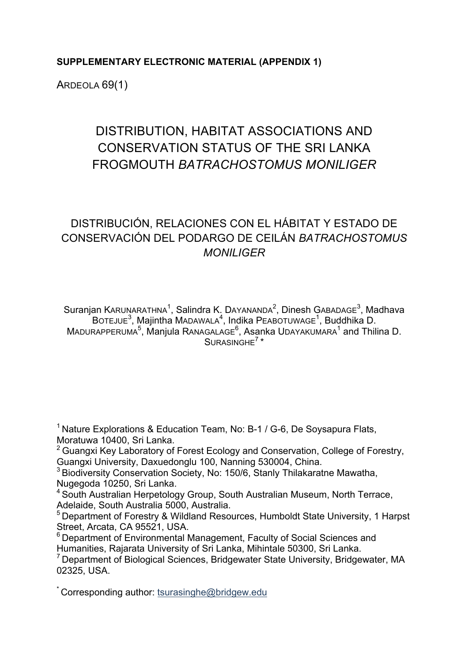### **SUPPLEMENTARY ELECTRONIC MATERIAL (APPENDIX 1)**

ARDEOLA 69(1)

# DISTRIBUTION, HABITAT ASSOCIATIONS AND CONSERVATION STATUS OF THE SRI LANKA FROGMOUTH *BATRACHOSTOMUS MONILIGER*

## DISTRIBUCIÓN, RELACIONES CON EL HÁBITAT Y ESTADO DE CONSERVACIÓN DEL PODARGO DE CEILÁN *BATRACHOSTOMUS MONILIGER*

Suranjan K $A$ RUNARATHNA $1$ , Salindra K. DAYANANDA $2$ , Dinesh GABADAGE $^3$ , Madhava BOTEJUE<sup>3</sup>, Majintha MADAWALA<sup>4</sup>, Indika PEABOTUWAGE<sup>1</sup>, Buddhika D. MADURAPPERUMA<sup>5</sup>, Manjula RANAGALAGE<sup>6</sup>, Asanka UDAYAKUMARA<sup>1</sup> and Thilina D.  $SUBASINGHE<sup>7</sup>$ 

<sup>1</sup> Nature Explorations & Education Team, No: B-1 / G-6, De Soysapura Flats, Moratuwa 10400, Sri Lanka.<br><sup>2</sup> Guangxi Key Laboratory of Forest Ecology and Conservation, College of Forestry,

Guangxi University, Daxuedonglu 100, Nanning 530004, China.

<sup>3</sup> Biodiversity Conservation Society, No: 150/6, Stanly Thilakaratne Mawatha,

Nugegoda 10250, Sri Lanka.<br><sup>4</sup> South Australian Herpetology Group, South Australian Museum, North Terrace, Adelaide. South Australia 5000. Australia.

<sup>5</sup> Department of Forestry & Wildland Resources, Humboldt State University, 1 Harpst

Street, Arcata, CA 95521, USA.<br><sup>6</sup> Department of Environmental Management, Faculty of Social Sciences and Humanities, Rajarata University of Sri Lanka, Mihintale 50300, Sri Lanka.

 $\mathrm{^{7}}$  Department of Biological Sciences, Bridgewater State University, Bridgewater, MA 02325, USA.

\* Corresponding author: tsurasinghe@bridgew.edu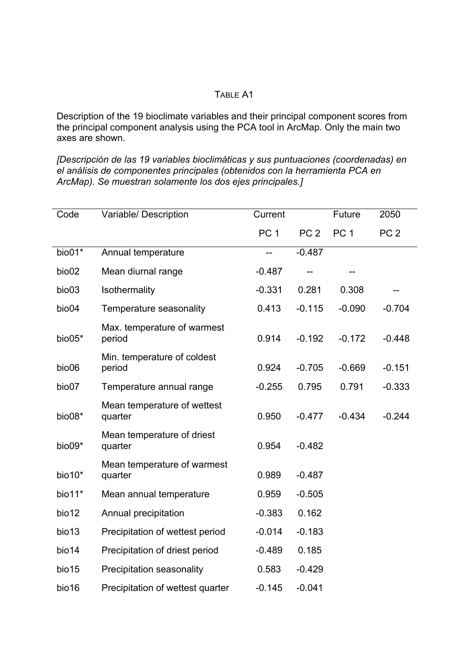#### TABLE A1

Description of the 19 bioclimate variables and their principal component scores from the principal component analysis using the PCA tool in ArcMap. Only the main two axes are shown.

*[Descripción de las 19 variables bioclimáticas y sus puntuaciones (coordenadas) en el análisis de componentes principales (obtenidos con la herramienta PCA en ArcMap). Se muestran solamente los dos ejes principales.]*

| Code     | Variable/ Description                  | Current         |                 | Future          | 2050            |
|----------|----------------------------------------|-----------------|-----------------|-----------------|-----------------|
|          |                                        | PC <sub>1</sub> | PC <sub>2</sub> | PC <sub>1</sub> | PC <sub>2</sub> |
| bio01*   | Annual temperature                     |                 | $-0.487$        |                 |                 |
| bio02    | Mean diurnal range                     | $-0.487$        |                 |                 |                 |
| bio03    | Isothermality                          | $-0.331$        | 0.281           | 0.308           |                 |
| bio04    | Temperature seasonality                | 0.413           | $-0.115$        | $-0.090$        | $-0.704$        |
| bio05*   | Max. temperature of warmest<br>period  | 0.914           | $-0.192$        | $-0.172$        | $-0.448$        |
| bio06    | Min. temperature of coldest<br>period  | 0.924           | $-0.705$        | $-0.669$        | $-0.151$        |
| bio07    | Temperature annual range               | $-0.255$        | 0.795           | 0.791           | $-0.333$        |
| bio08*   | Mean temperature of wettest<br>quarter | 0.950           | $-0.477$        | $-0.434$        | $-0.244$        |
| bio09*   | Mean temperature of driest<br>quarter  | 0.954           | $-0.482$        |                 |                 |
| $bio10*$ | Mean temperature of warmest<br>quarter | 0.989           | $-0.487$        |                 |                 |
| bio11*   | Mean annual temperature                | 0.959           | $-0.505$        |                 |                 |
| bio12    | Annual precipitation                   | $-0.383$        | 0.162           |                 |                 |
| bio13    | Precipitation of wettest period        | $-0.014$        | $-0.183$        |                 |                 |
| bio14    | Precipitation of driest period         | $-0.489$        | 0.185           |                 |                 |
| bio15    | <b>Precipitation seasonality</b>       | 0.583           | $-0.429$        |                 |                 |
| bio16    | Precipitation of wettest quarter       | $-0.145$        | $-0.041$        |                 |                 |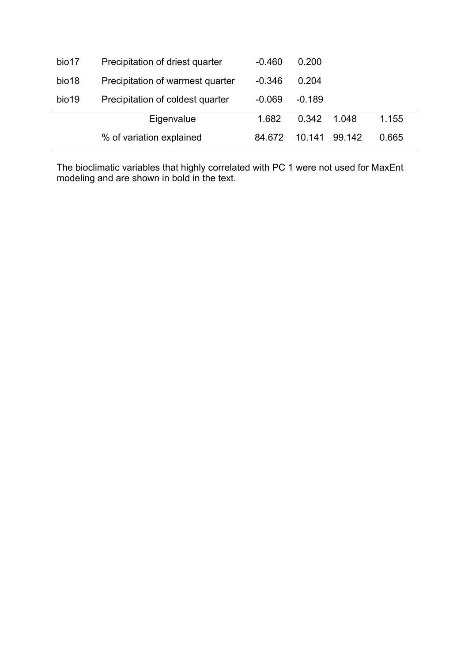|       | Eigenvalue<br>% of variation explained | 84.672   | 10 141   | 99.142 | 0.665 |  |
|-------|----------------------------------------|----------|----------|--------|-------|--|
|       |                                        | 1.682    | 0.342    | 1 048  | 1.155 |  |
| bio19 | Precipitation of coldest quarter       | $-0.069$ | $-0.189$ |        |       |  |
| bio18 | Precipitation of warmest quarter       | $-0.346$ | 0.204    |        |       |  |
| bio17 | Precipitation of driest quarter        | $-0.460$ | 0.200    |        |       |  |

The bioclimatic variables that highly correlated with PC 1 were not used for MaxEnt modeling and are shown in bold in the text.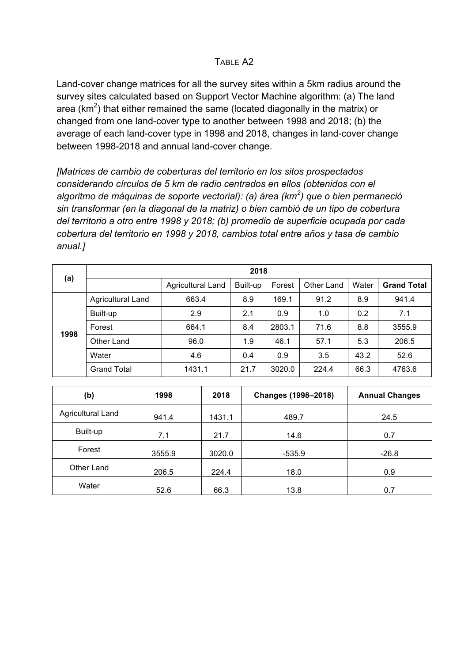#### TABLE A<sub>2</sub>

Land-cover change matrices for all the survey sites within a 5km radius around the survey sites calculated based on Support Vector Machine algorithm: (a) The land area (km<sup>2</sup>) that either remained the same (located diagonally in the matrix) or changed from one land-cover type to another between 1998 and 2018; (b) the average of each land-cover type in 1998 and 2018, changes in land-cover change between 1998-2018 and annual land-cover change.

*[Matrices de cambio de coberturas del territorio en los sitos prospectados considerando círculos de 5 km de radio centrados en ellos (obtenidos con el algoritmo de máquinas de soporte vectorial): (a) área (km<sup>2</sup> ) que o bien permaneció sin transformar (en la diagonal de la matriz) o bien cambió de un tipo de cobertura del territorio a otro entre 1998 y 2018; (b) promedio de superficie ocupada por cada cobertura del territorio en 1998 y 2018, cambios total entre años y tasa de cambio anual.]*

| (a)  | 2018               |                   |          |        |            |       |                    |  |  |
|------|--------------------|-------------------|----------|--------|------------|-------|--------------------|--|--|
|      |                    | Agricultural Land | Built-up | Forest | Other Land | Water | <b>Grand Total</b> |  |  |
|      | Agricultural Land  | 663.4             | 8.9      | 169.1  | 91.2       | 8.9   | 941.4              |  |  |
| 1998 | Built-up           | 2.9               | 2.1      | 0.9    | 1.0        | 0.2   | 7.1                |  |  |
|      | Forest             | 664.1             | 8.4      | 2803.1 | 71.6       | 8.8   | 3555.9             |  |  |
|      | Other Land         | 96.0              | 1.9      | 46.1   | 57.1       | 5.3   | 206.5              |  |  |
|      | Water              | 4.6               | 0.4      | 0.9    | 3.5        | 43.2  | 52.6               |  |  |
|      | <b>Grand Total</b> | 1431.1            | 21.7     | 3020.0 | 224.4      | 66.3  | 4763.6             |  |  |

| (b)               | 1998   | 2018   | Changes (1998-2018) | <b>Annual Changes</b> |
|-------------------|--------|--------|---------------------|-----------------------|
| Agricultural Land | 941.4  | 1431.1 | 489.7               | 24.5                  |
| Built-up          | 7.1    | 21.7   | 14.6                | 0.7                   |
| Forest            | 3555.9 | 3020.0 | $-535.9$            | $-26.8$               |
| Other Land        | 206.5  | 224.4  | 18.0                | 0.9                   |
| Water             | 52.6   | 66.3   | 13.8                | 0.7                   |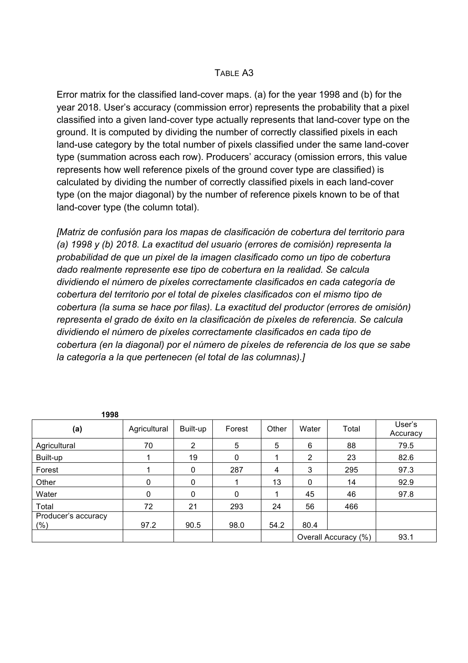#### TABLE A3

Error matrix for the classified land-cover maps. (a) for the year 1998 and (b) for the year 2018. User's accuracy (commission error) represents the probability that a pixel classified into a given land-cover type actually represents that land-cover type on the ground. It is computed by dividing the number of correctly classified pixels in each land-use category by the total number of pixels classified under the same land-cover type (summation across each row). Producers' accuracy (omission errors, this value represents how well reference pixels of the ground cover type are classified) is calculated by dividing the number of correctly classified pixels in each land-cover type (on the major diagonal) by the number of reference pixels known to be of that land-cover type (the column total).

*[Matriz de confusión para los mapas de clasificación de cobertura del territorio para (a) 1998 y (b) 2018. La exactitud del usuario (errores de comisión) representa la probabilidad de que un pixel de la imagen clasificado como un tipo de cobertura dado realmente represente ese tipo de cobertura en la realidad. Se calcula dividiendo el número de píxeles correctamente clasificados en cada categoría de cobertura del territorio por el total de píxeles clasificados con el mismo tipo de cobertura (la suma se hace por filas). La exactitud del productor (errores de omisión) representa el grado de éxito en la clasificación de píxeles de referencia. Se calcula dividiendo el número de píxeles correctamente clasificados en cada tipo de cobertura (en la diagonal) por el número de píxeles de referencia de los que se sabe la categoría a la que pertenecen (el total de las columnas).]*

| 1998                           |              |                |              |       |              |                      |                    |
|--------------------------------|--------------|----------------|--------------|-------|--------------|----------------------|--------------------|
| (a)                            | Agricultural | Built-up       | Forest       | Other | Water        | Total                | User's<br>Accuracy |
| Agricultural                   | 70           | $\overline{2}$ | 5            | 5     | 6            | 88                   | 79.5               |
| Built-up                       |              | 19             | $\mathbf{0}$ |       | 2            | 23                   | 82.6               |
| Forest                         |              | 0              | 287          | 4     | 3            | 295                  | 97.3               |
| Other                          | $\Omega$     | 0              |              | 13    | $\mathbf{0}$ | 14                   | 92.9               |
| Water                          | $\Omega$     | $\Omega$       | 0            |       | 45           | 46                   | 97.8               |
| Total                          | 72           | 21             | 293          | 24    | 56           | 466                  |                    |
| Producer's accuracy<br>$(\% )$ | 97.2         | 90.5           | 98.0         | 54.2  | 80.4         |                      |                    |
|                                |              |                |              |       |              | Overall Accuracy (%) | 93.1               |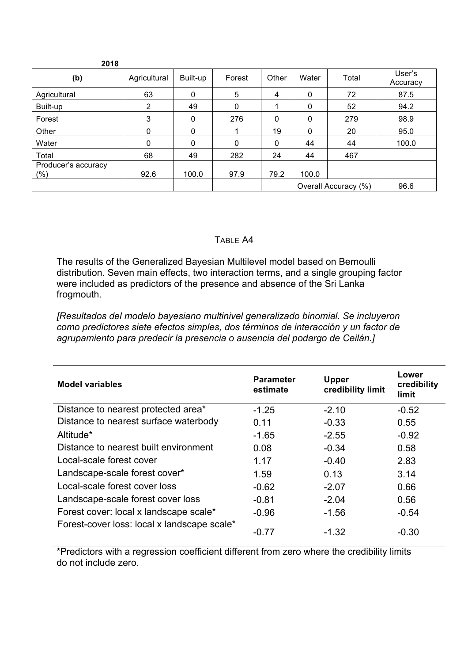| 2018                           |              |              |              |       |              |                      |                    |
|--------------------------------|--------------|--------------|--------------|-------|--------------|----------------------|--------------------|
| (b)                            | Agricultural | Built-up     | Forest       | Other | Water        | Total                | User's<br>Accuracy |
| Agricultural                   | 63           | $\mathbf{0}$ | 5            | 4     | 0            | 72                   | 87.5               |
| Built-up                       | 2            | 49           | $\mathbf{0}$ |       | 0            | 52                   | 94.2               |
| Forest                         | 3            | $\mathbf{0}$ | 276          | 0     | 0            | 279                  | 98.9               |
| Other                          | 0            | $\mathbf{0}$ |              | 19    | $\mathbf{0}$ | 20                   | 95.0               |
| Water                          | 0            | $\mathbf{0}$ | $\mathbf{0}$ | 0     | 44           | 44                   | 100.0              |
| Total                          | 68           | 49           | 282          | 24    | 44           | 467                  |                    |
| Producer's accuracy<br>$(\% )$ | 92.6         | 100.0        | 97.9         | 79.2  | 100.0        |                      |                    |
|                                |              |              |              |       |              | Overall Accuracy (%) | 96.6               |

#### TABLE A4

The results of the Generalized Bayesian Multilevel model based on Bernoulli distribution. Seven main effects, two interaction terms, and a single grouping factor were included as predictors of the presence and absence of the Sri Lanka frogmouth.

*[Resultados del modelo bayesiano multinivel generalizado binomial. Se incluyeron como predictores siete efectos simples, dos términos de interacción y un factor de agrupamiento para predecir la presencia o ausencia del podargo de Ceilán.]*

| <b>Model variables</b>                      | <b>Parameter</b><br>estimate | <b>Upper</b><br>credibility limit | Lower<br>credibility<br>limit |
|---------------------------------------------|------------------------------|-----------------------------------|-------------------------------|
| Distance to nearest protected area*         | $-1.25$                      | $-2.10$                           | $-0.52$                       |
| Distance to nearest surface waterbody       | 0.11                         | $-0.33$                           | 0.55                          |
| Altitude*                                   | $-1.65$                      | $-2.55$                           | $-0.92$                       |
| Distance to nearest built environment       | 0.08                         | $-0.34$                           | 0.58                          |
| Local-scale forest cover                    | 1.17                         | $-0.40$                           | 2.83                          |
| Landscape-scale forest cover*               | 1.59                         | 0.13                              | 3.14                          |
| Local-scale forest cover loss               | $-0.62$                      | $-2.07$                           | 0.66                          |
| Landscape-scale forest cover loss           | $-0.81$                      | $-2.04$                           | 0.56                          |
| Forest cover: local x landscape scale*      | $-0.96$                      | $-1.56$                           | $-0.54$                       |
| Forest-cover loss: local x landscape scale* | -0.77                        | $-1.32$                           | $-0.30$                       |

\*Predictors with a regression coefficient different from zero where the credibility limits do not include zero.